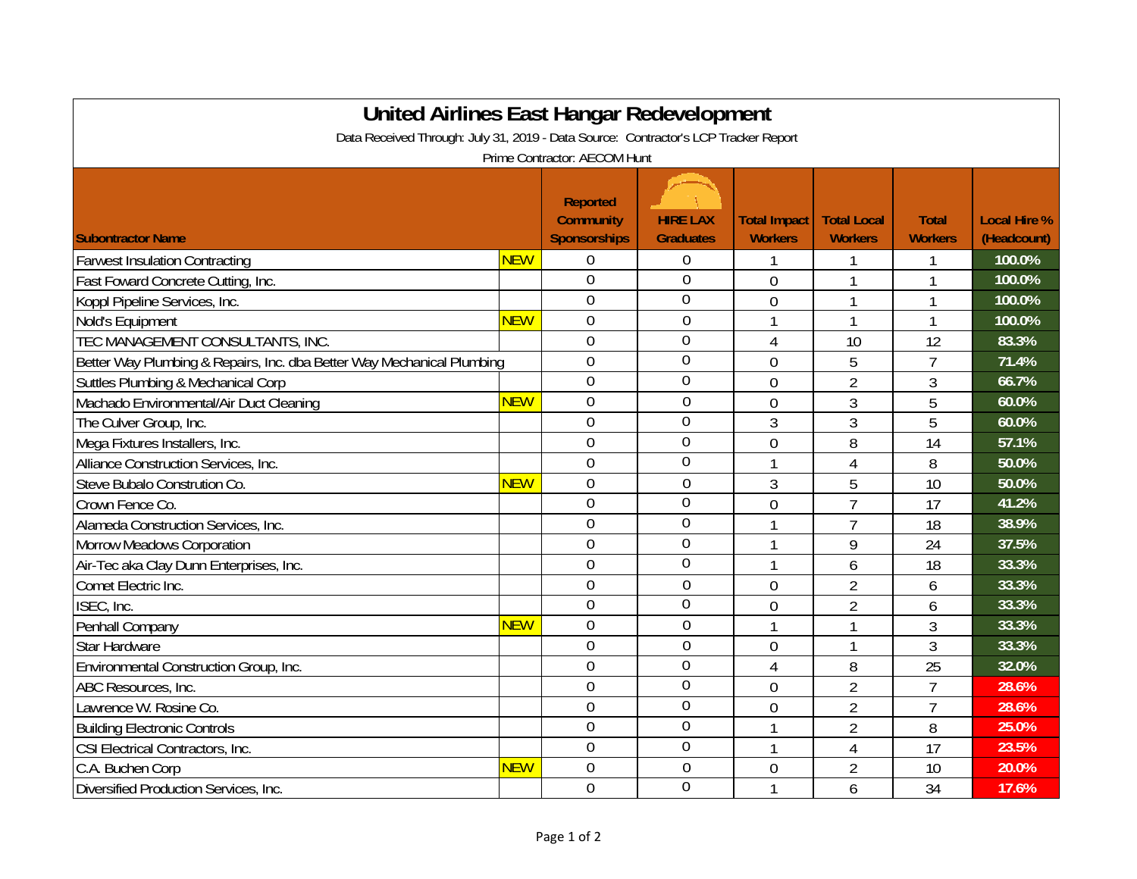| United Airlines East Hangar Redevelopment<br>Data Received Through: July 31, 2019 - Data Source: Contractor's LCP Tracker Report |            |                                                     |                                     |                                       |                                      |                                |                                    |  |  |  |  |  |
|----------------------------------------------------------------------------------------------------------------------------------|------------|-----------------------------------------------------|-------------------------------------|---------------------------------------|--------------------------------------|--------------------------------|------------------------------------|--|--|--|--|--|
| Prime Contractor: AECOM Hunt                                                                                                     |            |                                                     |                                     |                                       |                                      |                                |                                    |  |  |  |  |  |
| <b>Subontractor Name</b>                                                                                                         |            | <b>Reported</b><br><b>Community</b><br>Sponsorships | <b>HIRE LAX</b><br><b>Graduates</b> | <b>Total Impact</b><br><b>Workers</b> | <b>Total Local</b><br><b>Workers</b> | <b>Total</b><br><b>Workers</b> | <b>Local Hire %</b><br>(Headcount) |  |  |  |  |  |
| <b>Farwest Insulation Contracting</b>                                                                                            | <b>NEW</b> | $\boldsymbol{0}$                                    | $\boldsymbol{0}$                    |                                       |                                      |                                | 100.0%                             |  |  |  |  |  |
| Fast Foward Concrete Cutting, Inc.                                                                                               |            | $\overline{0}$                                      | $\mathbf 0$                         | $\overline{0}$                        |                                      |                                | 100.0%                             |  |  |  |  |  |
| Koppl Pipeline Services, Inc.                                                                                                    |            | $\overline{0}$                                      | $\overline{0}$                      | $\overline{0}$                        |                                      |                                | 100.0%                             |  |  |  |  |  |
| Nold's Equipment                                                                                                                 | <b>NEW</b> | $\overline{0}$                                      | $\boldsymbol{0}$                    | 1                                     | 1                                    | 1                              | 100.0%                             |  |  |  |  |  |
| TEC MANAGEMENT CONSULTANTS, INC.                                                                                                 |            | $\overline{0}$                                      | $\overline{0}$                      | 4                                     | 10                                   | 12                             | 83.3%                              |  |  |  |  |  |
| Better Way Plumbing & Repairs, Inc. dba Better Way Mechanical Plumbing                                                           |            | $\overline{0}$                                      | $\overline{0}$                      | $\overline{0}$                        | 5                                    | $\overline{7}$                 | 71.4%                              |  |  |  |  |  |
| Suttles Plumbing & Mechanical Corp                                                                                               |            | $\boldsymbol{0}$                                    | $\overline{0}$                      | 0                                     | $\overline{2}$                       | 3                              | 66.7%                              |  |  |  |  |  |
| Machado Environmental/Air Duct Cleaning                                                                                          | <b>NEW</b> | $\mathbf 0$                                         | $\boldsymbol{0}$                    | $\overline{0}$                        | 3                                    | 5                              | 60.0%                              |  |  |  |  |  |
| The Culver Group, Inc.                                                                                                           |            | $\mathbf 0$                                         | $\overline{0}$                      | 3                                     | 3                                    | 5                              | 60.0%                              |  |  |  |  |  |
| Mega Fixtures Installers, Inc.                                                                                                   |            | $\overline{0}$                                      | $\mathbf 0$                         | $\overline{0}$                        | 8                                    | 14                             | 57.1%                              |  |  |  |  |  |
| Alliance Construction Services, Inc.                                                                                             |            | $\overline{0}$                                      | $\overline{0}$                      | 1                                     | 4                                    | 8                              | 50.0%                              |  |  |  |  |  |
| Steve Bubalo Constrution Co.                                                                                                     | <b>NEW</b> | $\overline{0}$                                      | $\overline{0}$                      | 3                                     | 5                                    | 10                             | 50.0%                              |  |  |  |  |  |
| Crown Fence Co.                                                                                                                  |            | $\overline{0}$                                      | $\mathbf 0$                         | $\overline{0}$                        | $\overline{7}$                       | 17                             | 41.2%                              |  |  |  |  |  |
| Alameda Construction Services, Inc.                                                                                              |            | $\overline{0}$                                      | $\overline{0}$                      |                                       | $\overline{7}$                       | 18                             | 38.9%                              |  |  |  |  |  |
| <b>Morrow Meadows Corporation</b>                                                                                                |            | $\overline{0}$                                      | $\overline{0}$                      |                                       | 9                                    | 24                             | 37.5%                              |  |  |  |  |  |
| Air-Tec aka Clay Dunn Enterprises, Inc.                                                                                          |            | $\overline{0}$                                      | $\overline{0}$                      | 1                                     | 6                                    | 18                             | 33.3%                              |  |  |  |  |  |
| Comet Electric Inc.                                                                                                              |            | $\overline{0}$                                      | $\theta$                            | $\overline{0}$                        | $\overline{2}$                       | 6                              | 33.3%                              |  |  |  |  |  |
| ISEC, Inc.                                                                                                                       |            | $\overline{0}$                                      | $\overline{0}$                      | $\overline{0}$                        | $\overline{2}$                       | 6                              | 33.3%                              |  |  |  |  |  |
| Penhall Company                                                                                                                  | <b>NEW</b> | $\overline{0}$                                      | $\mathbf 0$                         | 1                                     |                                      | 3                              | 33.3%                              |  |  |  |  |  |
| <b>Star Hardware</b>                                                                                                             |            | $\overline{0}$                                      | $\mathbf 0$                         | $\overline{0}$                        |                                      | 3                              | 33.3%                              |  |  |  |  |  |
| Environmental Construction Group, Inc.                                                                                           |            | $\overline{0}$                                      | $\overline{0}$                      | 4                                     | 8                                    | 25                             | 32.0%                              |  |  |  |  |  |
| ABC Resources, Inc.                                                                                                              |            | $\theta$                                            | $\overline{0}$                      | $\overline{0}$                        | $\overline{2}$                       | $\overline{7}$                 | 28.6%                              |  |  |  |  |  |
| Lawrence W. Rosine Co.                                                                                                           |            | $\theta$                                            | $\overline{0}$                      | $\overline{0}$                        | $\overline{2}$                       | $\overline{7}$                 | 28.6%                              |  |  |  |  |  |
| <b>Building Electronic Controls</b>                                                                                              |            | $\overline{0}$                                      | $\mathbf 0$                         | 1                                     | $\overline{2}$                       | 8                              | 25.0%                              |  |  |  |  |  |
| CSI Electrical Contractors, Inc.                                                                                                 |            | $\overline{0}$                                      | $\overline{0}$                      | 1                                     | 4                                    | 17                             | 23.5%                              |  |  |  |  |  |
| C.A. Buchen Corp                                                                                                                 | <b>NEW</b> | $\overline{0}$                                      | $\mathbf 0$                         | $\overline{0}$                        | $\overline{2}$                       | 10                             | 20.0%                              |  |  |  |  |  |
| Diversified Production Services, Inc.                                                                                            |            | $\overline{0}$                                      | $\overline{0}$                      | 1                                     | 6                                    | 34                             | 17.6%                              |  |  |  |  |  |